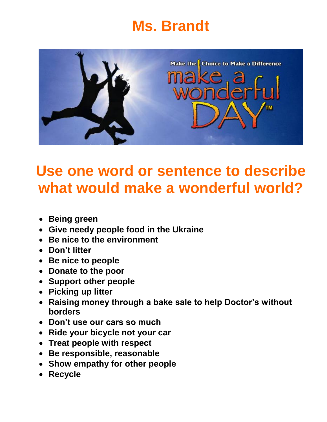# **Ms. Brandt**



## **Use one word or sentence to describe what would make a wonderful world?**

- **Being green**
- **Give needy people food in the Ukraine**
- **Be nice to the environment**
- **Don't litter**
- **Be nice to people**
- **Donate to the poor**
- **Support other people**
- **Picking up litter**
- **Raising money through a bake sale to help Doctor's without borders**
- **Don't use our cars so much**
- **Ride your bicycle not your car**
- **Treat people with respect**
- **Be responsible, reasonable**
- **Show empathy for other people**
- **Recycle**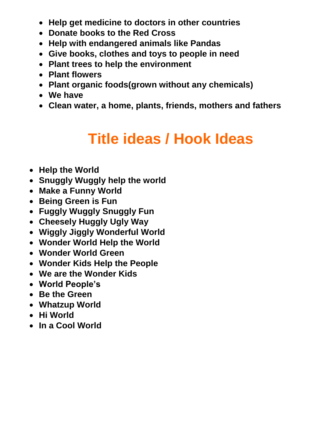- **Help get medicine to doctors in other countries**
- **Donate books to the Red Cross**
- **Help with endangered animals like Pandas**
- **Give books, clothes and toys to people in need**
- **Plant trees to help the environment**
- **Plant flowers**
- **Plant organic foods(grown without any chemicals)**
- **We have**
- **Clean water, a home, plants, friends, mothers and fathers**

## **Title ideas / Hook Ideas**

- **Help the World**
- **Snuggly Wuggly help the world**
- **Make a Funny World**
- **Being Green is Fun**
- **Fuggly Wuggly Snuggly Fun**
- **Cheesely Huggly Ugly Way**
- **Wiggly Jiggly Wonderful World**
- **Wonder World Help the World**
- **Wonder World Green**
- **Wonder Kids Help the People**
- **We are the Wonder Kids**
- **World People's**
- **Be the Green**
- **Whatzup World**
- **Hi World**
- **In a Cool World**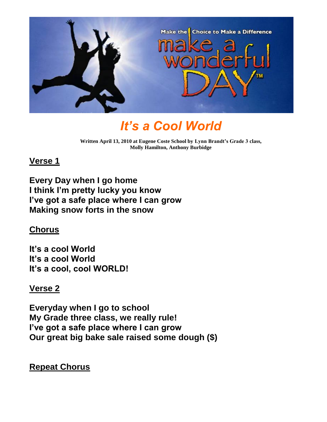

### *It's a Cool World*

**Written April 13, 2010 at Eugene Coste School by Lynn Brandt's Grade 3 class, Molly Hamilton, Anthony Burbidge**

#### **Verse 1**

**Every Day when I go home I think I'm pretty lucky you know I've got a safe place where I can grow Making snow forts in the snow**

### **Chorus**

**It's a cool World It's a cool World It's a cool, cool WORLD!**

### **Verse 2**

**Everyday when I go to school My Grade three class, we really rule! I've got a safe place where I can grow Our great big bake sale raised some dough (\$)**

**Repeat Chorus**